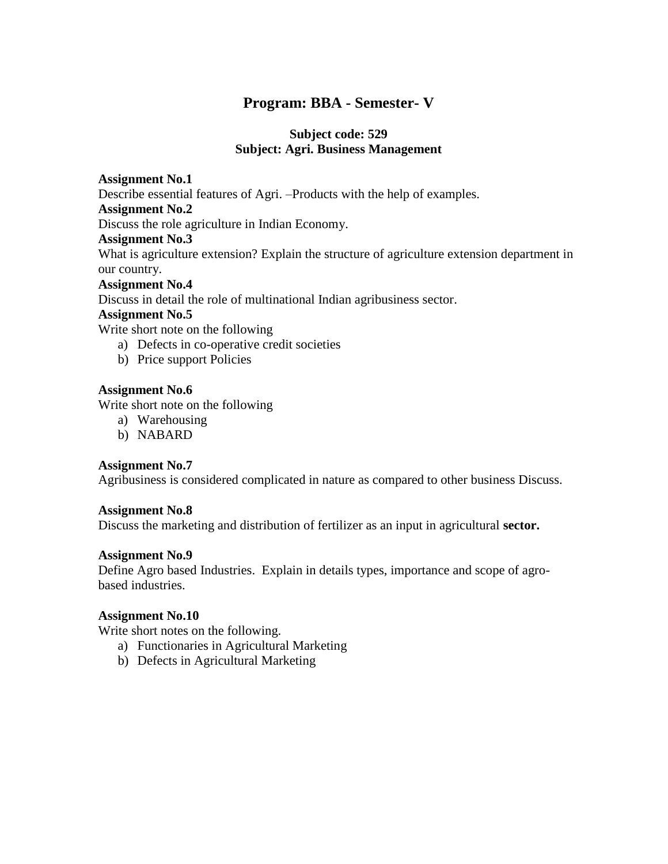# **Program: BBA - Semester- V**

# **Subject code: 529 Subject: Agri. Business Management**

# **Assignment No.1**

Describe essential features of Agri. –Products with the help of examples.

# **Assignment No.2**

Discuss the role agriculture in Indian Economy.

### **Assignment No.3**

What is agriculture extension? Explain the structure of agriculture extension department in our country.

### **Assignment No.4**

Discuss in detail the role of multinational Indian agribusiness sector.

# **Assignment No.5**

Write short note on the following

- a) Defects in co-operative credit societies
- b) Price support Policies

# **Assignment No.6**

Write short note on the following

- a) Warehousing
- b) NABARD

# **Assignment No.7**

Agribusiness is considered complicated in nature as compared to other business Discuss.

#### **Assignment No.8**

Discuss the marketing and distribution of fertilizer as an input in agricultural **sector.**

# **Assignment No.9**

Define Agro based Industries. Explain in details types, importance and scope of agrobased industries.

# **Assignment No.10**

Write short notes on the following.

- a) Functionaries in Agricultural Marketing
- b) Defects in Agricultural Marketing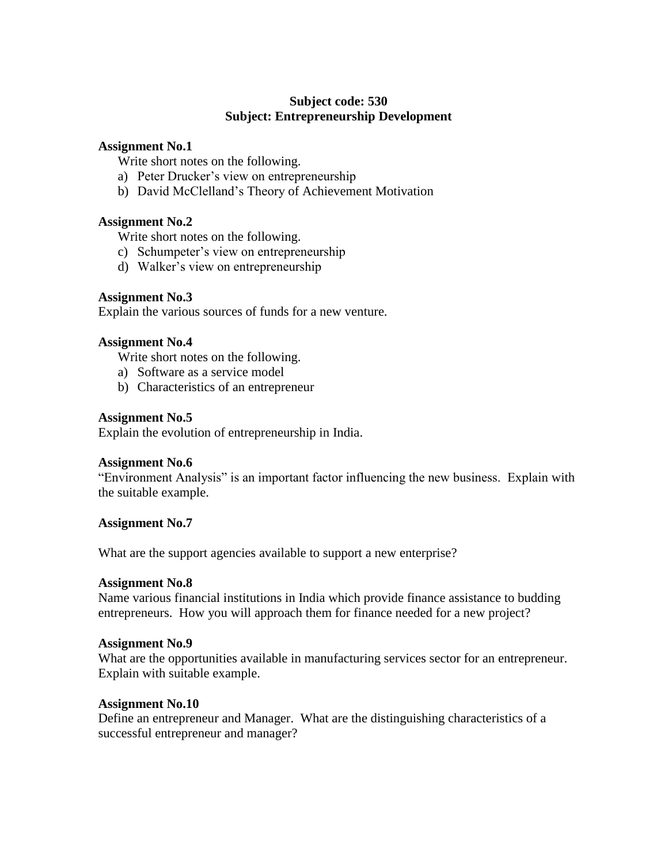# **Subject code: 530 Subject: Entrepreneurship Development**

### **Assignment No.1**

Write short notes on the following.

- a) Peter Drucker"s view on entrepreneurship
- b) David McClelland"s Theory of Achievement Motivation

# **Assignment No.2**

Write short notes on the following.

- c) Schumpeter's view on entrepreneurship
- d) Walker"s view on entrepreneurship

### **Assignment No.3**

Explain the various sources of funds for a new venture.

#### **Assignment No.4**

Write short notes on the following.

- a) Software as a service model
- b) Characteristics of an entrepreneur

### **Assignment No.5**

Explain the evolution of entrepreneurship in India.

#### **Assignment No.6**

"Environment Analysis" is an important factor influencing the new business. Explain with the suitable example.

#### **Assignment No.7**

What are the support agencies available to support a new enterprise?

#### **Assignment No.8**

Name various financial institutions in India which provide finance assistance to budding entrepreneurs. How you will approach them for finance needed for a new project?

#### **Assignment No.9**

What are the opportunities available in manufacturing services sector for an entrepreneur. Explain with suitable example.

#### **Assignment No.10**

Define an entrepreneur and Manager. What are the distinguishing characteristics of a successful entrepreneur and manager?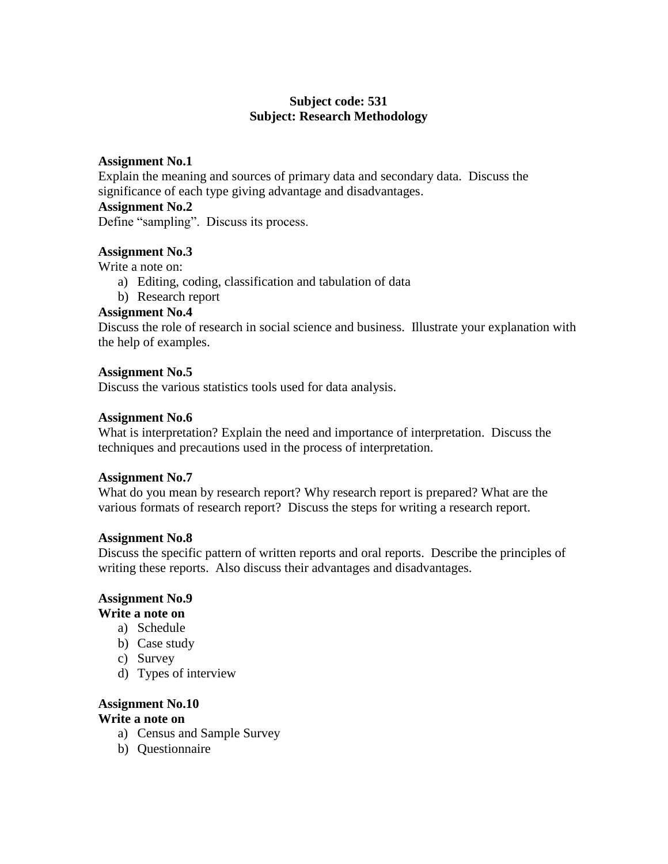# **Subject code: 531 Subject: Research Methodology**

# **Assignment No.1**

Explain the meaning and sources of primary data and secondary data. Discuss the significance of each type giving advantage and disadvantages.

# **Assignment No.2**

Define "sampling". Discuss its process.

# **Assignment No.3**

Write a note on:

- a) Editing, coding, classification and tabulation of data
- b) Research report

# **Assignment No.4**

Discuss the role of research in social science and business. Illustrate your explanation with the help of examples.

### **Assignment No.5**

Discuss the various statistics tools used for data analysis.

### **Assignment No.6**

What is interpretation? Explain the need and importance of interpretation. Discuss the techniques and precautions used in the process of interpretation.

#### **Assignment No.7**

What do you mean by research report? Why research report is prepared? What are the various formats of research report? Discuss the steps for writing a research report.

#### **Assignment No.8**

Discuss the specific pattern of written reports and oral reports. Describe the principles of writing these reports. Also discuss their advantages and disadvantages.

#### **Assignment No.9**

#### **Write a note on**

- a) Schedule
- b) Case study
- c) Survey
- d) Types of interview

# **Assignment No.10**

# **Write a note on**

- a) Census and Sample Survey
- b) Questionnaire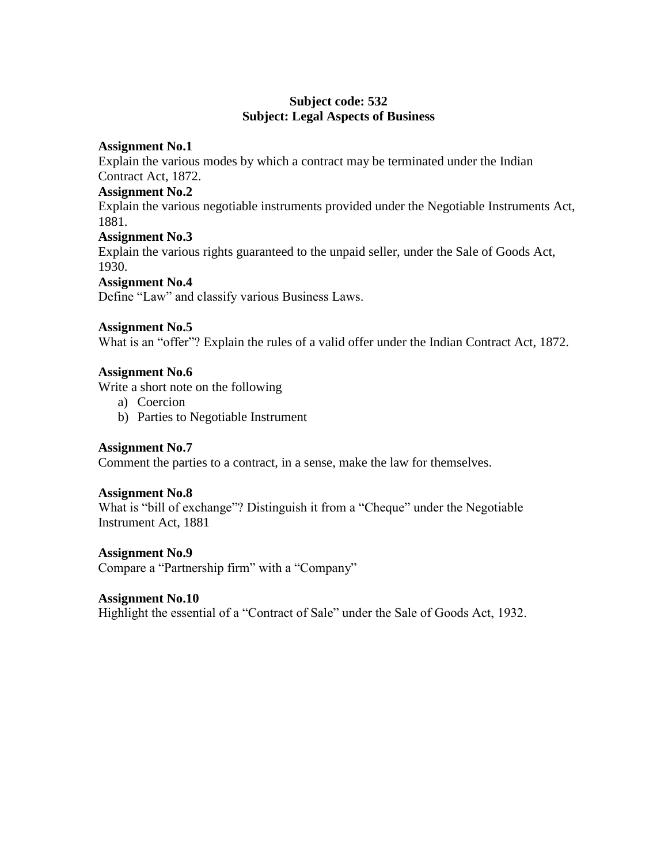# **Subject code: 532 Subject: Legal Aspects of Business**

# **Assignment No.1**

Explain the various modes by which a contract may be terminated under the Indian Contract Act, 1872.

### **Assignment No.2**

Explain the various negotiable instruments provided under the Negotiable Instruments Act, 1881.

### **Assignment No.3**

Explain the various rights guaranteed to the unpaid seller, under the Sale of Goods Act, 1930.

### **Assignment No.4**

Define "Law" and classify various Business Laws.

### **Assignment No.5**

What is an "offer"? Explain the rules of a valid offer under the Indian Contract Act, 1872.

# **Assignment No.6**

Write a short note on the following

- a) Coercion
- b) Parties to Negotiable Instrument

# **Assignment No.7**

Comment the parties to a contract, in a sense, make the law for themselves.

#### **Assignment No.8**

What is "bill of exchange"? Distinguish it from a "Cheque" under the Negotiable Instrument Act, 1881

#### **Assignment No.9**

Compare a "Partnership firm" with a "Company"

#### **Assignment No.10**

Highlight the essential of a "Contract of Sale" under the Sale of Goods Act, 1932.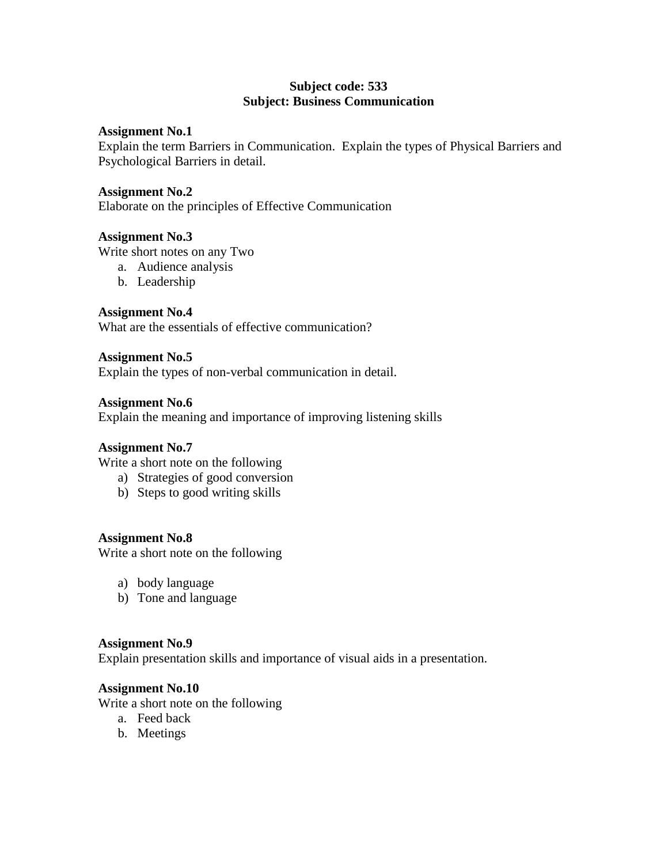# **Subject code: 533 Subject: Business Communication**

# **Assignment No.1**

Explain the term Barriers in Communication. Explain the types of Physical Barriers and Psychological Barriers in detail.

# **Assignment No.2**

Elaborate on the principles of Effective Communication

# **Assignment No.3**

Write short notes on any Two

- a. Audience analysis
- b. Leadership

### **Assignment No.4**

What are the essentials of effective communication?

### **Assignment No.5**

Explain the types of non-verbal communication in detail.

### **Assignment No.6**

Explain the meaning and importance of improving listening skills

# **Assignment No.7**

Write a short note on the following

- a) Strategies of good conversion
- b) Steps to good writing skills

# **Assignment No.8**

Write a short note on the following

- a) body language
- b) Tone and language

#### **Assignment No.9**

Explain presentation skills and importance of visual aids in a presentation.

#### **Assignment No.10**

Write a short note on the following

- a. Feed back
- b. Meetings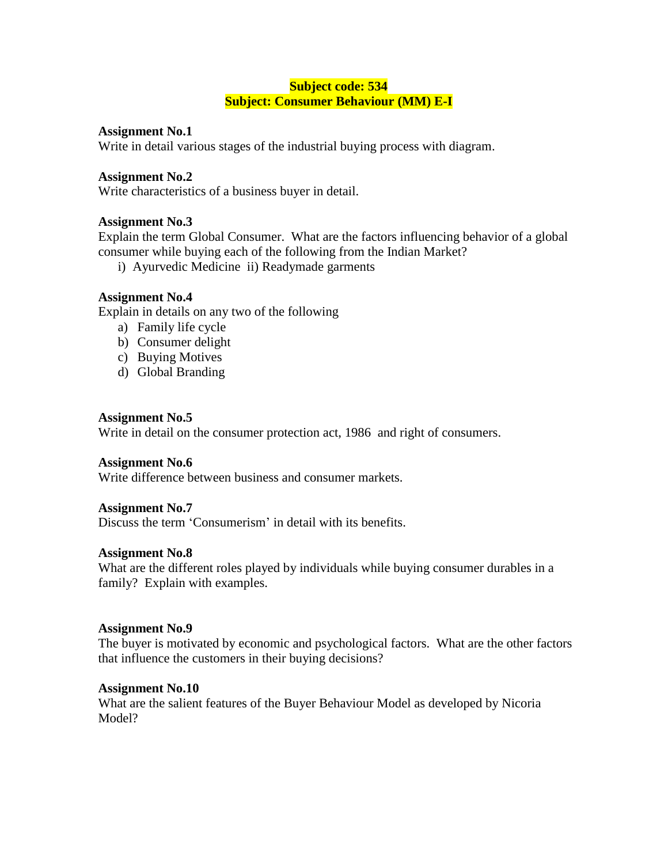# **Subject code: 534 Subject: Consumer Behaviour (MM) E-I**

### **Assignment No.1**

Write in detail various stages of the industrial buying process with diagram.

### **Assignment No.2**

Write characteristics of a business buyer in detail.

### **Assignment No.3**

Explain the term Global Consumer. What are the factors influencing behavior of a global consumer while buying each of the following from the Indian Market?

i) Ayurvedic Medicine ii) Readymade garments

### **Assignment No.4**

Explain in details on any two of the following

- a) Family life cycle
- b) Consumer delight
- c) Buying Motives
- d) Global Branding

#### **Assignment No.5**

Write in detail on the consumer protection act, 1986 and right of consumers.

#### **Assignment No.6**

Write difference between business and consumer markets.

#### **Assignment No.7**

Discuss the term 'Consumerism' in detail with its benefits.

#### **Assignment No.8**

What are the different roles played by individuals while buying consumer durables in a family? Explain with examples.

#### **Assignment No.9**

The buyer is motivated by economic and psychological factors. What are the other factors that influence the customers in their buying decisions?

# **Assignment No.10**

What are the salient features of the Buyer Behaviour Model as developed by Nicoria Model?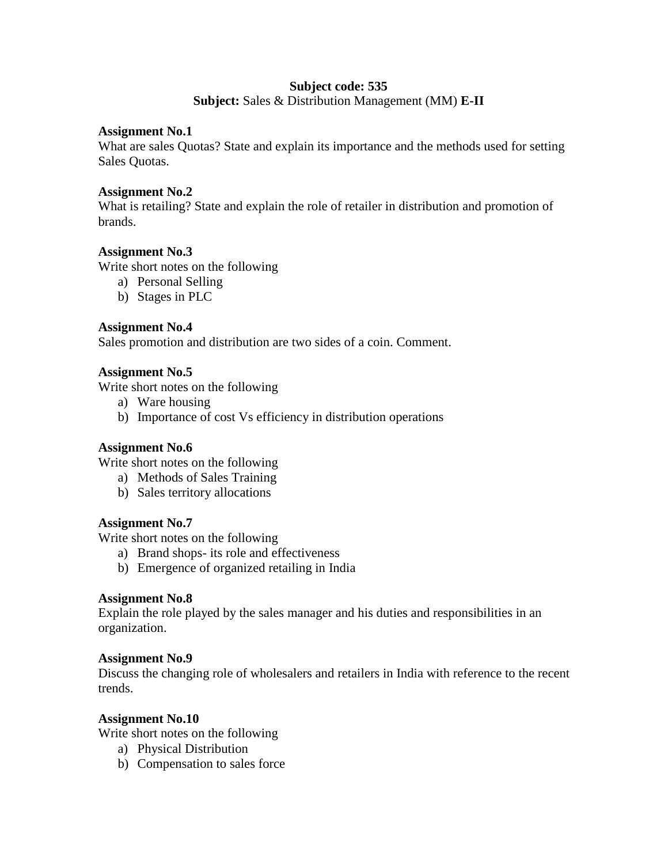# **Subject code: 535**

**Subject:** Sales & Distribution Management (MM) **E-II**

### **Assignment No.1**

What are sales Quotas? State and explain its importance and the methods used for setting Sales Quotas.

# **Assignment No.2**

What is retailing? State and explain the role of retailer in distribution and promotion of brands.

# **Assignment No.3**

Write short notes on the following

- a) Personal Selling
- b) Stages in PLC

# **Assignment No.4**

Sales promotion and distribution are two sides of a coin. Comment.

# **Assignment No.5**

Write short notes on the following

- a) Ware housing
- b) Importance of cost Vs efficiency in distribution operations

# **Assignment No.6**

Write short notes on the following

- a) Methods of Sales Training
- b) Sales territory allocations

# **Assignment No.7**

Write short notes on the following

- a) Brand shops- its role and effectiveness
- b) Emergence of organized retailing in India

# **Assignment No.8**

Explain the role played by the sales manager and his duties and responsibilities in an organization.

# **Assignment No.9**

Discuss the changing role of wholesalers and retailers in India with reference to the recent trends.

# **Assignment No.10**

Write short notes on the following

- a) Physical Distribution
- b) Compensation to sales force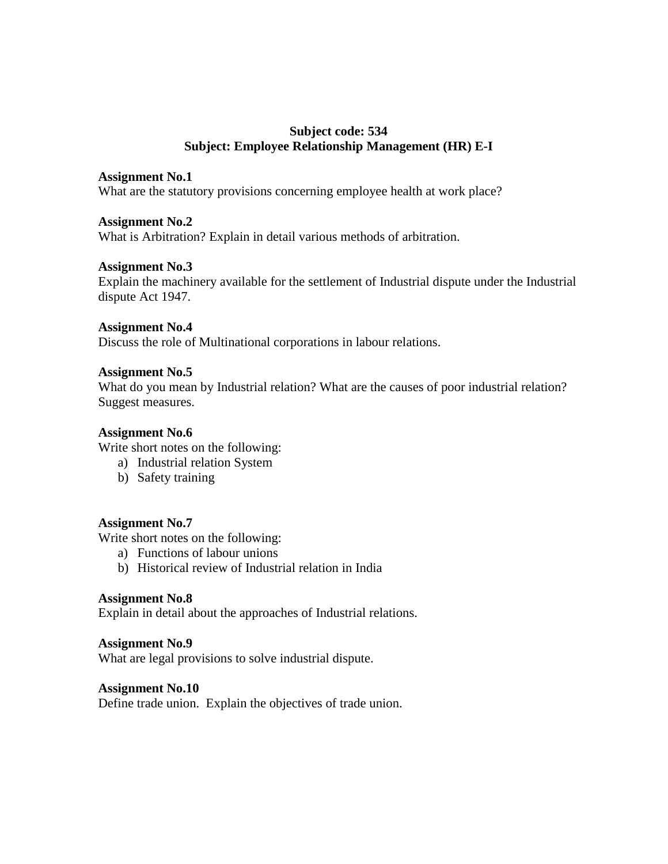# **Subject code: 534 Subject: Employee Relationship Management (HR) E-I**

### **Assignment No.1**

What are the statutory provisions concerning employee health at work place?

### **Assignment No.2**

What is Arbitration? Explain in detail various methods of arbitration.

# **Assignment No.3**

Explain the machinery available for the settlement of Industrial dispute under the Industrial dispute Act 1947.

#### **Assignment No.4**

Discuss the role of Multinational corporations in labour relations.

#### **Assignment No.5**

What do you mean by Industrial relation? What are the causes of poor industrial relation? Suggest measures.

#### **Assignment No.6**

Write short notes on the following:

- a) Industrial relation System
- b) Safety training

#### **Assignment No.7**

Write short notes on the following:

- a) Functions of labour unions
- b) Historical review of Industrial relation in India

#### **Assignment No.8**

Explain in detail about the approaches of Industrial relations.

#### **Assignment No.9**

What are legal provisions to solve industrial dispute.

#### **Assignment No.10**

Define trade union. Explain the objectives of trade union.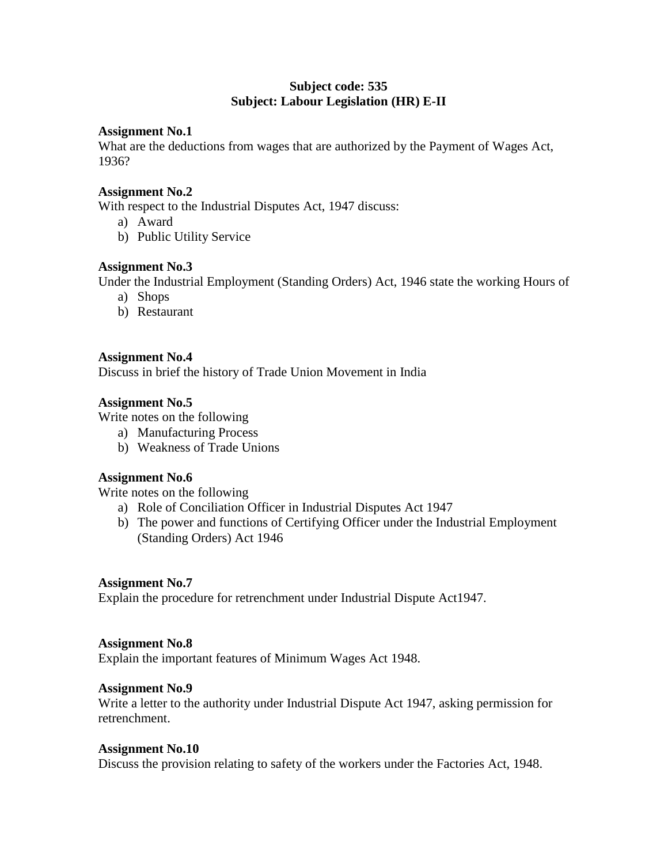# **Subject code: 535 Subject: Labour Legislation (HR) E-II**

### **Assignment No.1**

What are the deductions from wages that are authorized by the Payment of Wages Act, 1936?

### **Assignment No.2**

With respect to the Industrial Disputes Act, 1947 discuss:

- a) Award
- b) Public Utility Service

# **Assignment No.3**

Under the Industrial Employment (Standing Orders) Act, 1946 state the working Hours of

- a) Shops
- b) Restaurant

### **Assignment No.4**

Discuss in brief the history of Trade Union Movement in India

### **Assignment No.5**

Write notes on the following

- a) Manufacturing Process
- b) Weakness of Trade Unions

#### **Assignment No.6**

Write notes on the following

- a) Role of Conciliation Officer in Industrial Disputes Act 1947
- b) The power and functions of Certifying Officer under the Industrial Employment (Standing Orders) Act 1946

#### **Assignment No.7**

Explain the procedure for retrenchment under Industrial Dispute Act1947.

#### **Assignment No.8**

Explain the important features of Minimum Wages Act 1948.

#### **Assignment No.9**

Write a letter to the authority under Industrial Dispute Act 1947, asking permission for retrenchment.

#### **Assignment No.10**

Discuss the provision relating to safety of the workers under the Factories Act, 1948.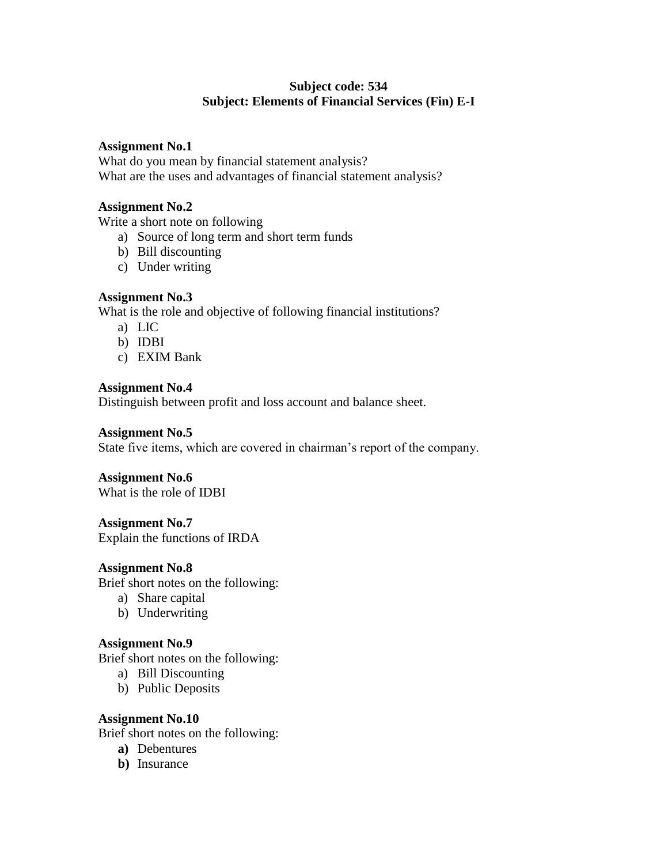# **Subject code: 534 Subject: Elements of Financial Services (Fin) E-I**

### **Assignment No.1**

What do you mean by financial statement analysis? What are the uses and advantages of financial statement analysis?

### **Assignment No.2**

Write a short note on following

- a) Source of long term and short term funds
- b) Bill discounting
- c) Under writing

### **Assignment No.3**

What is the role and objective of following financial institutions?

- a) LIC
- b) IDBI
- c) EXIM Bank

### **Assignment No.4**

Distinguish between profit and loss account and balance sheet.

### **Assignment No.5**

State five items, which are covered in chairman"s report of the company.

# **Assignment No.6**

What is the role of IDBI

# **Assignment No.7**

Explain the functions of IRDA

#### **Assignment No.8**

Brief short notes on the following:

- a) Share capital
- b) Underwriting

#### **Assignment No.9**

Brief short notes on the following:

- a) Bill Discounting
- b) Public Deposits

# **Assignment No.10**

Brief short notes on the following:

- **a)** Debentures
- **b)** Insurance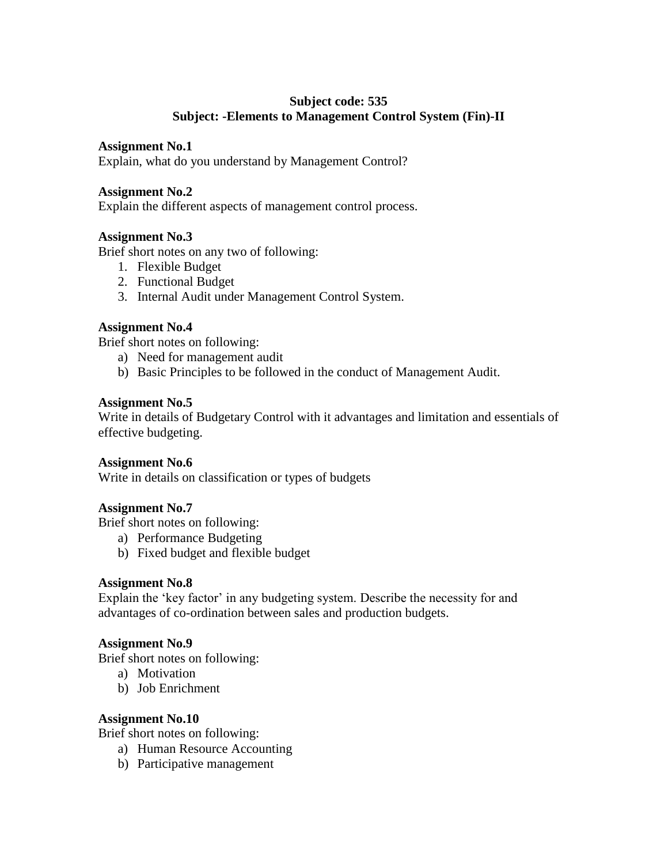# **Subject code: 535 Subject: -Elements to Management Control System (Fin)-II**

# **Assignment No.1**

Explain, what do you understand by Management Control?

# **Assignment No.2**

Explain the different aspects of management control process.

# **Assignment No.3**

Brief short notes on any two of following:

- 1. Flexible Budget
- 2. Functional Budget
- 3. Internal Audit under Management Control System.

# **Assignment No.4**

Brief short notes on following:

- a) Need for management audit
- b) Basic Principles to be followed in the conduct of Management Audit.

# **Assignment No.5**

Write in details of Budgetary Control with it advantages and limitation and essentials of effective budgeting.

# **Assignment No.6**

Write in details on classification or types of budgets

# **Assignment No.7**

Brief short notes on following:

- a) Performance Budgeting
- b) Fixed budget and flexible budget

# **Assignment No.8**

Explain the 'key factor' in any budgeting system. Describe the necessity for and advantages of co-ordination between sales and production budgets.

# **Assignment No.9**

Brief short notes on following:

- a) Motivation
- b) Job Enrichment

# **Assignment No.10**

Brief short notes on following:

- a) Human Resource Accounting
- b) Participative management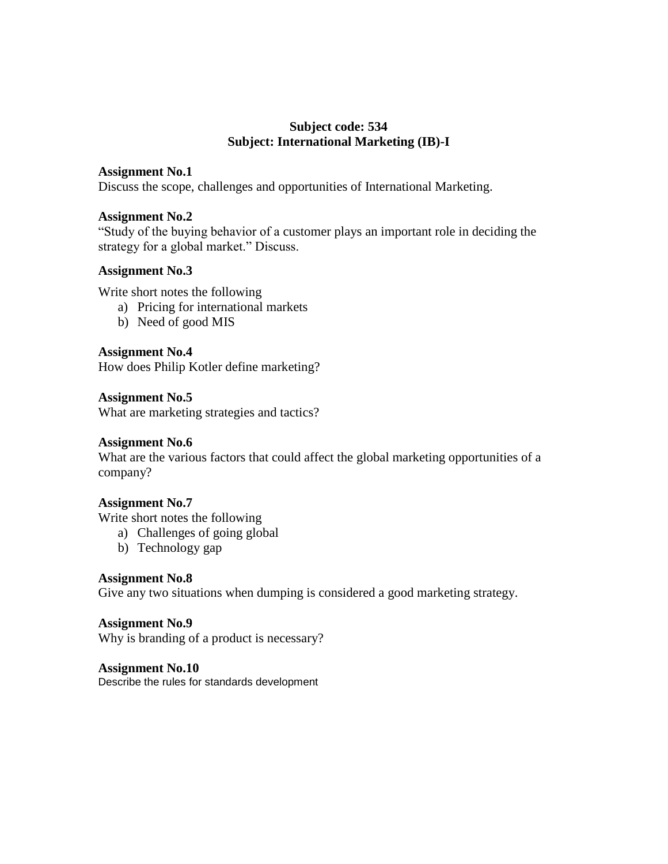# **Subject code: 534 Subject: International Marketing (IB)-I**

### **Assignment No.1**

Discuss the scope, challenges and opportunities of International Marketing.

### **Assignment No.2**

"Study of the buying behavior of a customer plays an important role in deciding the strategy for a global market." Discuss.

### **Assignment No.3**

Write short notes the following

- a) Pricing for international markets
- b) Need of good MIS

### **Assignment No.4**

How does Philip Kotler define marketing?

### **Assignment No.5**

What are marketing strategies and tactics?

#### **Assignment No.6**

What are the various factors that could affect the global marketing opportunities of a company?

#### **Assignment No.7**

Write short notes the following

- a) Challenges of going global
- b) Technology gap

# **Assignment No.8**

Give any two situations when dumping is considered a good marketing strategy.

### **Assignment No.9**

Why is branding of a product is necessary?

#### **Assignment No.10**

Describe the rules for standards development